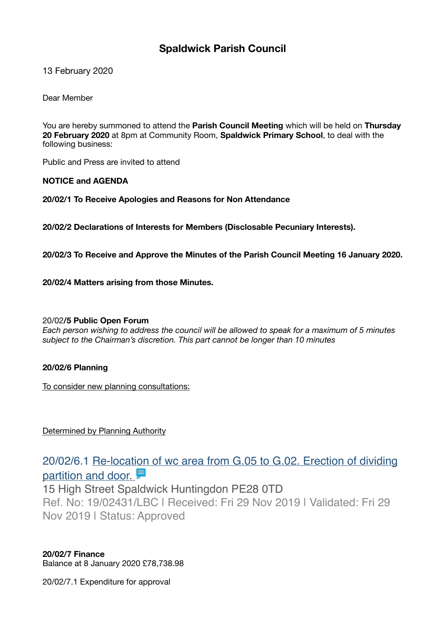## **Spaldwick Parish Council**

13 February 2020

Dear Member

You are hereby summoned to attend the **Parish Council Meeting** which will be held on **Thursday 20 February 2020** at 8pm at Community Room, **Spaldwick Primary School**, to deal with the following business:

Public and Press are invited to attend

**NOTICE and AGENDA** 

**20/02/1 To Receive Apologies and Reasons for Non Attendance** 

**20/02/2 Declarations of Interests for Members (Disclosable Pecuniary Interests).** 

**20/02/3 To Receive and Approve the Minutes of the Parish Council Meeting 16 January 2020.** 

**20/02/4 Matters arising from those Minutes.** 

## 20/02**/5 Public Open Forum**

*Each person wishing to address the council will be allowed to speak for a maximum of 5 minutes subject to the Chairman's discretion. This part cannot be longer than 10 minutes* 

## **20/02/6 Planning**

To consider new planning consultations:

Determined by Planning Authority

# [20/02/6.1 Re-location of wc area from G.05 to G.02. Erection of dividing](https://publicaccess.huntingdonshire.gov.uk/online-applications/applicationDetails.do?keyVal=Q1Q6I1IKHST00&activeTab=summary)  partition and door.

15 High Street Spaldwick Huntingdon PE28 0TD Ref. No: 19/02431/LBC | Received: Fri 29 Nov 2019 | Validated: Fri 29

Nov 2019 | Status: Approved

**20/02/7 Finance**  Balance at 8 January 2020 £78,738.98

20/02/7.1 Expenditure for approval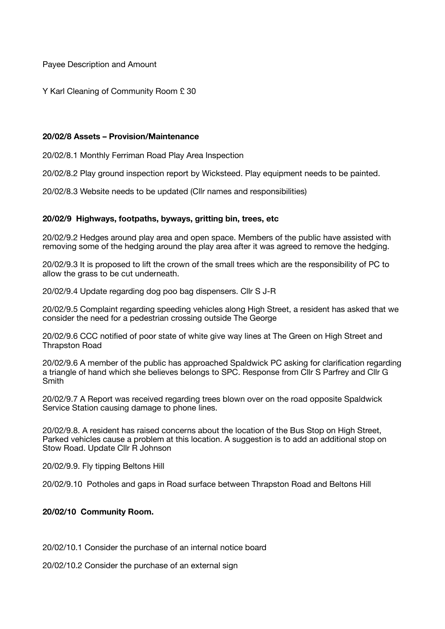Payee Description and Amount

Y Karl Cleaning of Community Room £ 30

#### **20/02/8 Assets – Provision/Maintenance**

20/02/8.1 Monthly Ferriman Road Play Area Inspection

20/02/8.2 Play ground inspection report by Wicksteed. Play equipment needs to be painted.

20/02/8.3 Website needs to be updated (Cllr names and responsibilities)

## **20/02/9 Highways, footpaths, byways, gritting bin, trees, etc**

20/02/9.2 Hedges around play area and open space. Members of the public have assisted with removing some of the hedging around the play area after it was agreed to remove the hedging.

20/02/9.3 It is proposed to lift the crown of the small trees which are the responsibility of PC to allow the grass to be cut underneath.

20/02/9.4 Update regarding dog poo bag dispensers. Cllr S J-R

20/02/9.5 Complaint regarding speeding vehicles along High Street, a resident has asked that we consider the need for a pedestrian crossing outside The George

20/02/9.6 CCC notified of poor state of white give way lines at The Green on High Street and Thrapston Road

20/02/9.6 A member of the public has approached Spaldwick PC asking for clarification regarding a triangle of hand which she believes belongs to SPC. Response from Cllr S Parfrey and Cllr G **Smith** 

20/02/9.7 A Report was received regarding trees blown over on the road opposite Spaldwick Service Station causing damage to phone lines.

20/02/9.8. A resident has raised concerns about the location of the Bus Stop on High Street, Parked vehicles cause a problem at this location. A suggestion is to add an additional stop on Stow Road. Update Cllr R Johnson

20/02/9.9. Fly tipping Beltons Hill

20/02/9.10 Potholes and gaps in Road surface between Thrapston Road and Beltons Hill

## **20/02/10 Community Room.**

20/02/10.1 Consider the purchase of an internal notice board

20/02/10.2 Consider the purchase of an external sign